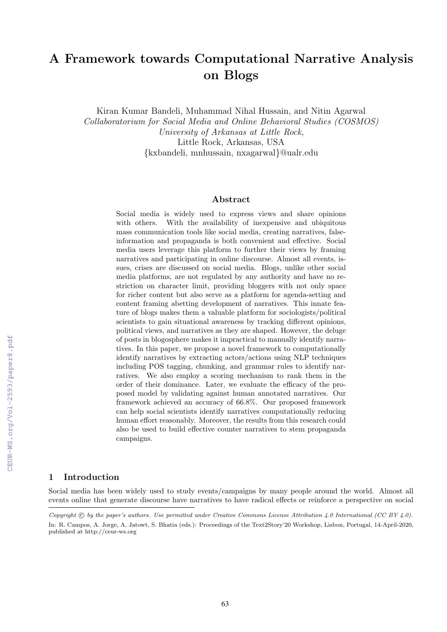# A Framework towards Computational Narrative Analysis on Blogs

Kiran Kumar Bandeli, Muhammad Nihal Hussain, and Nitin Agarwal *Collaboratorium for Social Media and Online Behavioral Studies (COSMOS) University of Arkansas at Little Rock,* Little Rock, Arkansas, USA *{*kxbandeli, mnhussain, nxagarwal*}*@ualr.edu

#### Abstract

Social media is widely used to express views and share opinions with others. With the availability of inexpensive and ubiquitous mass communication tools like social media, creating narratives, falseinformation and propaganda is both convenient and effective. Social media users leverage this platform to further their views by framing narratives and participating in online discourse. Almost all events, issues, crises are discussed on social media. Blogs, unlike other social media platforms, are not regulated by any authority and have no restriction on character limit, providing bloggers with not only space for richer content but also serve as a platform for agenda-setting and content framing abetting development of narratives. This innate feature of blogs makes them a valuable platform for sociologists/political scientists to gain situational awareness by tracking different opinions, political views, and narratives as they are shaped. However, the deluge of posts in blogosphere makes it impractical to manually identify narratives. In this paper, we propose a novel framework to computationally identify narratives by extracting actors/actions using NLP techniques including POS tagging, chunking, and grammar rules to identify narratives. We also employ a scoring mechanism to rank them in the order of their dominance. Later, we evaluate the efficacy of the proposed model by validating against human annotated narratives. Our framework achieved an accuracy of 66.8%. Our proposed framework can help social scientists identify narratives computationally reducing human effort reasonably. Moreover, the results from this research could also be used to build effective counter narratives to stem propaganda campaigns.

# 1 Introduction

Social media has been widely used to study events/campaigns by many people around the world. Almost all events online that generate discourse have narratives to have radical effects or reinforce a perspective on social

*Copyright*  $\odot$  *by the paper's authors. Use permitted under Creative Commons License Attribution 4.0 International (CC BY 4.0).* In: R. Campos, A. Jorge, A. Jatowt, S. Bhatia (eds.): Proceedings of the Text2Story'20 Workshop, Lisbon, Portugal, 14-April-2020, published at http://ceur-ws.org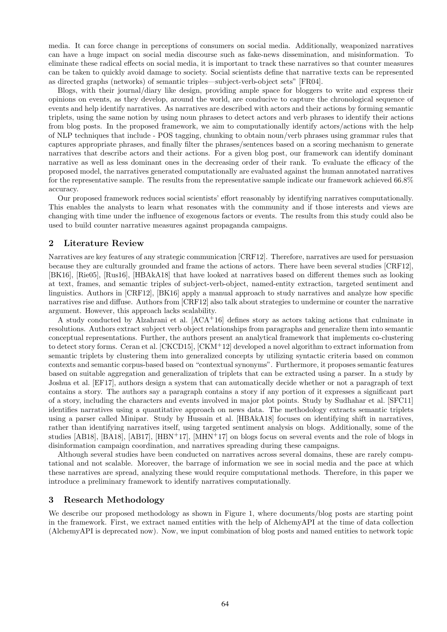media. It can force change in perceptions of consumers on social media. Additionally, weaponized narratives can have a huge impact on social media discourse such as fake-news dissemination, and misinformation. To eliminate these radical effects on social media, it is important to track these narratives so that counter measures can be taken to quickly avoid damage to society. Social scientists define that narrative texts can be represented as directed graphs (networks) of semantic triples—subject-verb-object sets" [\[FR04\]](#page-6-0).

Blogs, with their journal/diary like design, providing ample space for bloggers to write and express their opinions on events, as they develop, around the world, are conducive to capture the chronological sequence of events and help identify narratives. As narratives are described with actors and their actions by forming semantic triplets, using the same notion by using noun phrases to detect actors and verb phrases to identify their actions from blog posts. In the proposed framework, we aim to computationally identify actors/actions with the help of NLP techniques that include - POS tagging, chunking to obtain noun/verb phrases using grammar rules that captures appropriate phrases, and finally filter the phrases/sentences based on a scoring mechanism to generate narratives that describe actors and their actions. For a given blog post, our framework can identify dominant narrative as well as less dominant ones in the decreasing order of their rank. To evaluate the efficacy of the proposed model, the narratives generated computationally are evaluated against the human annotated narratives for the representative sample. The results from the representative sample indicate our framework achieved 66.8% accuracy.

Our proposed framework reduces social scientists' effort reasonably by identifying narratives computationally. This enables the analysts to learn what resonates with the community and if those interests and views are changing with time under the influence of exogenous factors or events. The results from this study could also be used to build counter narrative measures against propaganda campaigns.

# 2 Literature Review

Narratives are key features of any strategic communication [\[CRF12\]](#page-6-1). Therefore, narratives are used for persuasion because they are culturally grounded and frame the actions of actors. There have been several studies [\[CRF12\]](#page-6-1), [\[BK16\]](#page-6-2), [\[Rie05\]](#page-6-3), [\[Rus16\]](#page-6-4), [\[HBAkA18\]](#page-6-5) that have looked at narratives based on different themes such as looking at text, frames, and semantic triples of subject-verb-object, named-entity extraction, targeted sentiment and linguistics. Authors in [\[CRF12\]](#page-6-1), [\[BK16\]](#page-6-2) apply a manual approach to study narratives and analyze how specific narratives rise and diffuse. Authors from [\[CRF12\]](#page-6-1) also talk about strategies to undermine or counter the narrative argument. However, this approach lacks scalability.

A study conducted by Alzahrani et al.  $[ACA^+16]$  $[ACA^+16]$  defines story as actors taking actions that culminate in resolutions. Authors extract subject verb object relationships from paragraphs and generalize them into semantic conceptual representations. Further, the authors present an analytical framework that implements co-clustering to detect story forms. Ceran et al. [\[CKCD15\]](#page-6-6), [\[CKM](#page-6-7)<sup>+</sup>12] developed a novel algorithm to extract information from semantic triplets by clustering them into generalized concepts by utilizing syntactic criteria based on common contexts and semantic corpus-based based on "contextual synonyms". Furthermore, it proposes semantic features based on suitable aggregation and generalization of triplets that can be extracted using a parser. In a study by Joshua et al. [\[EF17\]](#page-6-8), authors design a system that can automatically decide whether or not a paragraph of text contains a story. The authors say a paragraph contains a story if any portion of it expresses a significant part of a story, including the characters and events involved in major plot points. Study by Sudhahar et al. [\[SFC11\]](#page-6-9) identifies narratives using a quantitative approach on news data. The methodology extracts semantic triplets using a parser called Minipar. Study by Hussain et al. [\[HBAkA18\]](#page-6-5) focuses on identifying shift in narratives, rather than identifying narratives itself, using targeted sentiment analysis on blogs. Additionally, some of the studies [\[AB18\]](#page-5-1), [\[BA18\]](#page-5-2), [\[AB17\]](#page-5-3), [\[HBN](#page-6-10)<sup>+</sup>17], [\[MHN](#page-6-11)<sup>+</sup>17] on blogs focus on several events and the role of blogs in disinformation campaign coordination, and narratives spreading during these campaigns.

Although several studies have been conducted on narratives across several domains, these are rarely computational and not scalable. Moreover, the barrage of information we see in social media and the pace at which these narratives are spread, analyzing these would require computational methods. Therefore, in this paper we introduce a preliminary framework to identify narratives computationally.

# 3 Research Methodology

We describe our proposed methodology as shown in Figure [1,](#page-2-0) where documents/blog posts are starting point in the framework. First, we extract named entities with the help of AlchemyAPI at the time of data collection (AlchemyAPI is deprecated now). Now, we input combination of blog posts and named entities to network topic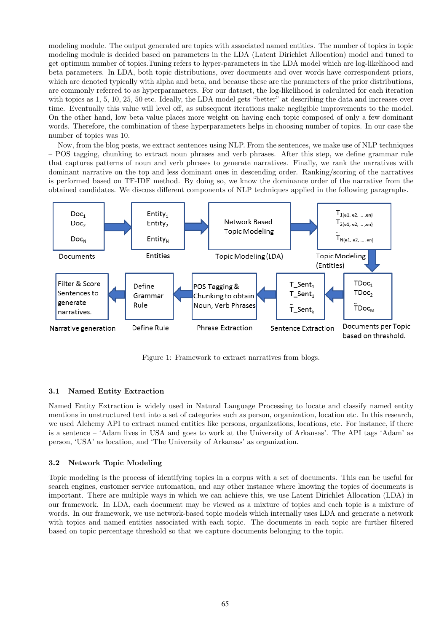modeling module. The output generated are topics with associated named entities. The number of topics in topic modeling module is decided based on parameters in the LDA (Latent Dirichlet Allocation) model and tuned to get optimum number of topics.Tuning refers to hyper-parameters in the LDA model which are log-likelihood and beta parameters. In LDA, both topic distributions, over documents and over words have correspondent priors, which are denoted typically with alpha and beta, and because these are the parameters of the prior distributions, are commonly referred to as hyperparameters. For our dataset, the log-likelihood is calculated for each iteration with topics as 1, 5, 10, 25, 50 etc. Ideally, the LDA model gets "better" at describing the data and increases over time. Eventually this value will level off, as subsequent iterations make negligible improvements to the model. On the other hand, low beta value places more weight on having each topic composed of only a few dominant words. Therefore, the combination of these hyperparameters helps in choosing number of topics. In our case the number of topics was 10.

Now, from the blog posts, we extract sentences using NLP. From the sentences, we make use of NLP techniques – POS tagging, chunking to extract noun phrases and verb phrases. After this step, we define grammar rule that captures patterns of noun and verb phrases to generate narratives. Finally, we rank the narratives with dominant narrative on the top and less dominant ones in descending order. Ranking/scoring of the narratives is performed based on TF-IDF method. By doing so, we know the dominance order of the narrative from the obtained candidates. We discuss different components of NLP techniques applied in the following paragraphs.



<span id="page-2-0"></span>Figure 1: Framework to extract narratives from blogs.

### 3.1 Named Entity Extraction

Named Entity Extraction is widely used in Natural Language Processing to locate and classify named entity mentions in unstructured text into a set of categories such as person, organization, location etc. In this research, we used Alchemy API to extract named entities like persons, organizations, locations, etc. For instance, if there is a sentence – 'Adam lives in USA and goes to work at the University of Arkansas'. The API tags 'Adam' as person, 'USA' as location, and 'The University of Arkansas' as organization.

#### 3.2 Network Topic Modeling

Topic modeling is the process of identifying topics in a corpus with a set of documents. This can be useful for search engines, customer service automation, and any other instance where knowing the topics of documents is important. There are multiple ways in which we can achieve this, we use Latent Dirichlet Allocation (LDA) in our framework. In LDA, each document may be viewed as a mixture of topics and each topic is a mixture of words. In our framework, we use network-based topic models which internally uses LDA and generate a network with topics and named entities associated with each topic. The documents in each topic are further filtered based on topic percentage threshold so that we capture documents belonging to the topic.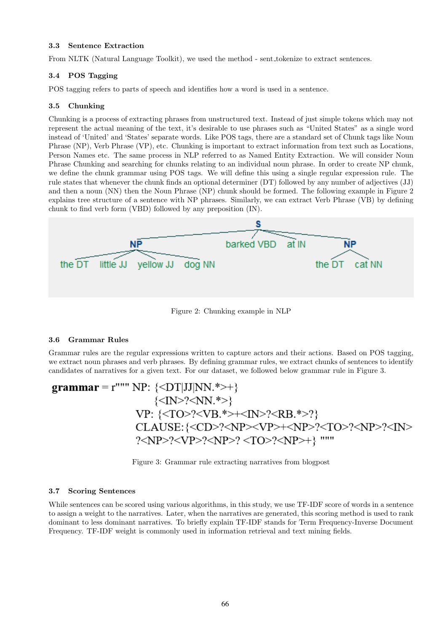### 3.3 Sentence Extraction

From NLTK (Natural Language Toolkit), we used the method - sent tokenize to extract sentences.

## 3.4 POS Tagging

POS tagging refers to parts of speech and identifies how a word is used in a sentence.

#### 3.5 Chunking

Chunking is a process of extracting phrases from unstructured text. Instead of just simple tokens which may not represent the actual meaning of the text, it's desirable to use phrases such as "United States" as a single word instead of 'United' and 'States' separate words. Like POS tags, there are a standard set of Chunk tags like Noun Phrase (NP), Verb Phrase (VP), etc. Chunking is important to extract information from text such as Locations, Person Names etc. The same process in NLP referred to as Named Entity Extraction. We will consider Noun Phrase Chunking and searching for chunks relating to an individual noun phrase. In order to create NP chunk, we define the chunk grammar using POS tags. We will define this using a single regular expression rule. The rule states that whenever the chunk finds an optional determiner (DT) followed by any number of adjectives (JJ) and then a noun (NN) then the Noun Phrase (NP) chunk should be formed. The following example in Figure [2](#page-3-0) explains tree structure of a sentence with NP phrases. Similarly, we can extract Verb Phrase (VB) by defining chunk to find verb form (VBD) followed by any preposition (IN).



<span id="page-3-0"></span>Figure 2: Chunking example in NLP

# 3.6 Grammar Rules

Grammar rules are the regular expressions written to capture actors and their actions. Based on POS tagging, we extract noun phrases and verb phrases. By defining grammar rules, we extract chunks of sentences to identify candidates of narratives for a given text. For our dataset, we followed below grammar rule in Figure [3.](#page-3-1)

$$
grammar = r""" NP: \{+\}
$$
  

$$
{?}
$$
  
VP: {?+??  
CLAUSE: {?+??>??

<span id="page-3-1"></span>Figure 3: Grammar rule extracting narratives from blogpost

## 3.7 Scoring Sentences

While sentences can be scored using various algorithms, in this study, we use TF-IDF score of words in a sentence to assign a weight to the narratives. Later, when the narratives are generated, this scoring method is used to rank dominant to less dominant narratives. To briefly explain TF-IDF stands for Term Frequency-Inverse Document Frequency. TF-IDF weight is commonly used in information retrieval and text mining fields.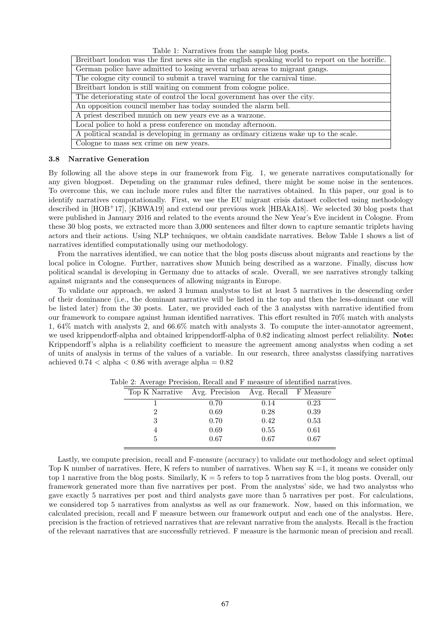| Table 1: Narratives from the sample blog posts. |  |  |  |  |  |
|-------------------------------------------------|--|--|--|--|--|
|-------------------------------------------------|--|--|--|--|--|

| Breitbart london was the first news site in the english speaking world to report on the horrific. |  |  |  |  |
|---------------------------------------------------------------------------------------------------|--|--|--|--|
| German police have admitted to losing several urban areas to migrant gangs.                       |  |  |  |  |
| The cologne city council to submit a travel warning for the carnival time.                        |  |  |  |  |
| Breitbart london is still waiting on comment from cologne police.                                 |  |  |  |  |
| The deteriorating state of control the local government has over the city.                        |  |  |  |  |
| An opposition council member has today sounded the alarm bell.                                    |  |  |  |  |
| A priest described munich on new years eve as a warzone.                                          |  |  |  |  |
| Local police to hold a press conference on monday afternoon.                                      |  |  |  |  |
| A political scandal is developing in germany as ordinary citizens wake up to the scale.           |  |  |  |  |
| Cologne to mass sex crime on new years.                                                           |  |  |  |  |

#### 3.8 Narrative Generation

By following all the above steps in our framework from Fig. 1, we generate narratives computationally for any given blogpost. Depending on the grammar rules defined, there might be some noise in the sentences. To overcome this, we can include more rules and filter the narratives obtained. In this paper, our goal is to identify narratives computationally. First, we use the EU migrant crisis dataset collected using methodology described in [\[HOB](#page-6-12)+17], [\[KBWA19\]](#page-6-13) and extend our previous work [\[HBAkA18\]](#page-6-5). We selected 30 blog posts that were published in January 2016 and related to the events around the New Year's Eve incident in Cologne. From these 30 blog posts, we extracted more than 3,000 sentences and filter down to capture semantic triplets having actors and their actions. Using NLP techniques, we obtain candidate narratives. Below Table 1 shows a list of narratives identified computationally using our methodology.

From the narratives identified, we can notice that the blog posts discuss about migrants and reactions by the local police in Cologne. Further, narratives show Munich being described as a warzone. Finally, discuss how political scandal is developing in Germany due to attacks of scale. Overall, we see narratives strongly talking against migrants and the consequences of allowing migrants in Europe.

To validate our approach, we asked 3 human analystss to list at least 5 narratives in the descending order of their dominance (i.e., the dominant narrative will be listed in the top and then the less-dominant one will be listed later) from the 30 posts. Later, we provided each of the 3 analystss with narrative identified from our framework to compare against human identified narratives. This effort resulted in 70% match with analysts 1, 64% match with analysts 2, and 66.6% match with analysts 3. To compute the inter-annotator agreement, we used krippendorff-alpha and obtained krippendorff-alpha of 0.82 indicating almost perfect reliability. Note: Krippendorff's alpha is a reliability coefficient to measure the agreement among analystss when coding a set of units of analysis in terms of the values of a variable. In our research, three analystss classifying narratives achieved  $0.74 <$  alpha  $< 0.86$  with average alpha  $= 0.82$ 

| Top K Narrative Avg. Precision Avg. Recall F Measure |      |      |      |
|------------------------------------------------------|------|------|------|
|                                                      | 0.70 | 0.14 | 0.23 |
|                                                      | 0.69 | 0.28 | 0.39 |
|                                                      | 0.70 | 0.42 | 0.53 |
|                                                      | 0.69 | 0.55 | 0.61 |
| 5                                                    | 0.67 | 0.67 | 0.67 |

Table 2: Average Precision, Recall and F measure of identified narratives.

Lastly, we compute precision, recall and F-measure (accuracy) to validate our methodology and select optimal Top K number of narratives. Here, K refers to number of narratives. When say  $K = 1$ , it means we consider only top 1 narrative from the blog posts. Similarly,  $K = 5$  refers to top 5 narratives from the blog posts. Overall, our framework generated more than five narratives per post. From the analystss' side, we had two analystss who gave exactly 5 narratives per post and third analysts gave more than 5 narratives per post. For calculations, we considered top 5 narratives from analystss as well as our framework. Now, based on this information, we calculated precision, recall and F measure between our framework output and each one of the analystss. Here, precision is the fraction of retrieved narratives that are relevant narrative from the analysts. Recall is the fraction of the relevant narratives that are successfully retrieved. F measure is the harmonic mean of precision and recall.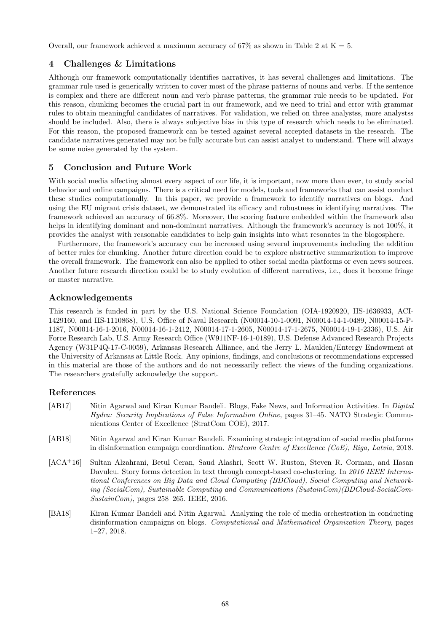Overall, our framework achieved a maximum accuracy of 67% as shown in Table 2 at  $K = 5$ .

# 4 Challenges & Limitations

Although our framework computationally identifies narratives, it has several challenges and limitations. The grammar rule used is generically written to cover most of the phrase patterns of nouns and verbs. If the sentence is complex and there are different noun and verb phrase patterns, the grammar rule needs to be updated. For this reason, chunking becomes the crucial part in our framework, and we need to trial and error with grammar rules to obtain meaningful candidates of narratives. For validation, we relied on three analystss, more analystss should be included. Also, there is always subjective bias in this type of research which needs to be eliminated. For this reason, the proposed framework can be tested against several accepted datasets in the research. The candidate narratives generated may not be fully accurate but can assist analyst to understand. There will always be some noise generated by the system.

# 5 Conclusion and Future Work

With social media affecting almost every aspect of our life, it is important, now more than ever, to study social behavior and online campaigns. There is a critical need for models, tools and frameworks that can assist conduct these studies computationally. In this paper, we provide a framework to identify narratives on blogs. And using the EU migrant crisis dataset, we demonstrated its efficacy and robustness in identifying narratives. The framework achieved an accuracy of 66.8%. Moreover, the scoring feature embedded within the framework also helps in identifying dominant and non-dominant narratives. Although the framework's accuracy is not 100%, it provides the analyst with reasonable candidates to help gain insights into what resonates in the blogosphere.

Furthermore, the framework's accuracy can be increased using several improvements including the addition of better rules for chunking. Another future direction could be to explore abstractive summarization to improve the overall framework. The framework can also be applied to other social media platforms or even news sources. Another future research direction could be to study evolution of different narratives, i.e., does it become fringe or master narrative.

# Acknowledgements

This research is funded in part by the U.S. National Science Foundation (OIA-1920920, IIS-1636933, ACI-1429160, and IIS-1110868), U.S. Oce of Naval Research (N00014-10-1-0091, N00014-14-1-0489, N00014-15-P-1187, N00014-16-1-2016, N00014-16-1-2412, N00014-17-1-2605, N00014-17-1-2675, N00014-19-1-2336), U.S. Air Force Research Lab, U.S. Army Research Office (W911NF-16-1-0189), U.S. Defense Advanced Research Projects Agency (W31P4Q-17-C-0059), Arkansas Research Alliance, and the Jerry L. Maulden/Entergy Endowment at the University of Arkansas at Little Rock. Any opinions, findings, and conclusions or recommendations expressed in this material are those of the authors and do not necessarily reflect the views of the funding organizations. The researchers gratefully acknowledge the support.

# References

- <span id="page-5-3"></span>[AB17] Nitin Agarwal and Kiran Kumar Bandeli. Blogs, Fake News, and Information Activities. In *Digital Hydra: Security Implications of False Information Online*, pages 31–45. NATO Strategic Communications Center of Excellence (StratCom COE), 2017.
- <span id="page-5-1"></span>[AB18] Nitin Agarwal and Kiran Kumar Bandeli. Examining strategic integration of social media platforms in disinformation campaign coordination. *Stratcom Centre of Excellence (CoE), Riga, Latvia*, 2018.
- <span id="page-5-0"></span>[ACA<sup>+</sup>16] Sultan Alzahrani, Betul Ceran, Saud Alashri, Scott W. Ruston, Steven R. Corman, and Hasan Davulcu. Story forms detection in text through concept-based co-clustering. In *2016 IEEE International Conferences on Big Data and Cloud Computing (BDCloud), Social Computing and Networking (SocialCom), Sustainable Computing and Communications (SustainCom)(BDCloud-SocialCom-SustainCom)*, pages 258–265. IEEE, 2016.
- <span id="page-5-2"></span>[BA18] Kiran Kumar Bandeli and Nitin Agarwal. Analyzing the role of media orchestration in conducting disinformation campaigns on blogs. *Computational and Mathematical Organization Theory*, pages 1–27, 2018.